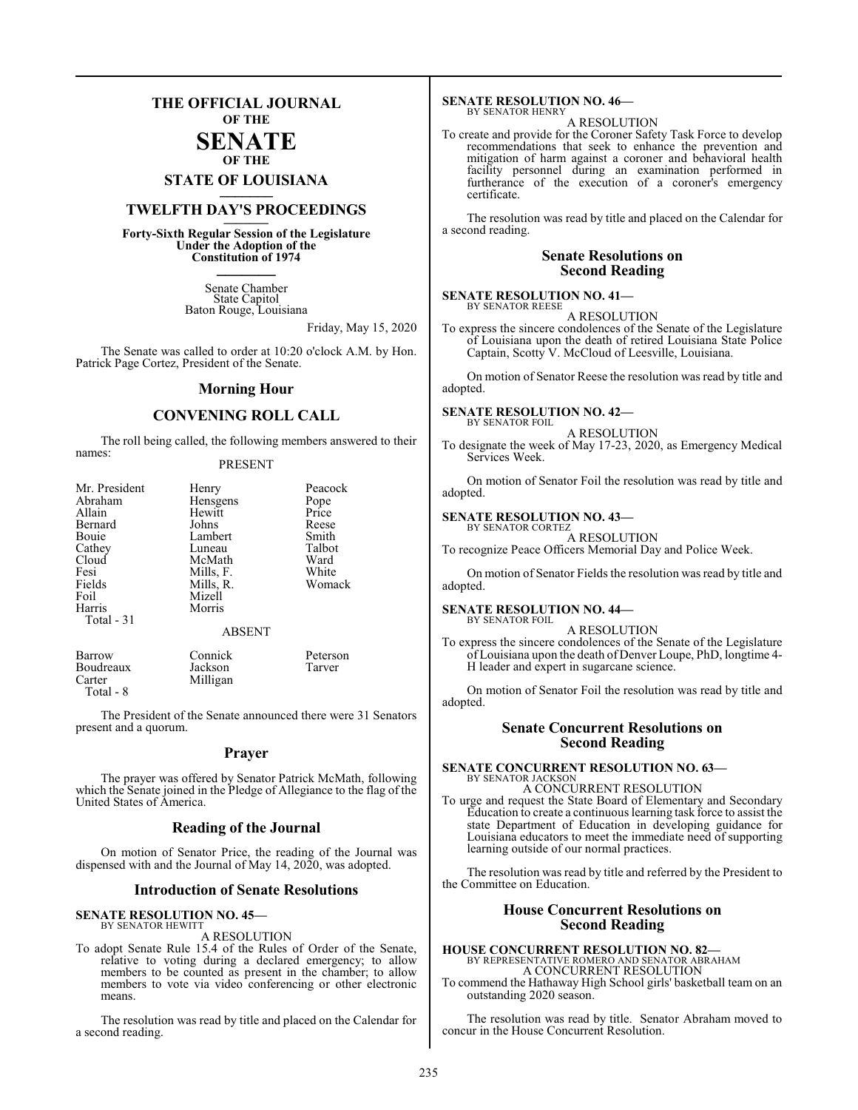## **THE OFFICIAL JOURNAL OF THE**

#### **SENATE OF THE**

# **STATE OF LOUISIANA \_\_\_\_\_\_\_**

## **TWELFTH DAY'S PROCEEDINGS \_\_\_\_\_\_\_**

**Forty-Sixth Regular Session of the Legislature Under the Adoption of the Constitution of 1974 \_\_\_\_\_\_\_**

> Senate Chamber State Capitol Baton Rouge, Louisiana

> > Friday, May 15, 2020

The Senate was called to order at 10:20 o'clock A.M. by Hon. Patrick Page Cortez, President of the Senate.

#### **Morning Hour**

#### **CONVENING ROLL CALL**

The roll being called, the following members answered to their names:

#### PRESENT

| Mr. President | Henry         | Peacock  |
|---------------|---------------|----------|
| Abraham       | Hensgens      | Pope     |
| Allain        | Hewitt        | Price    |
| Bernard       | Johns         | Reese    |
| Bouie         | Lambert       | Smith    |
| Cathey        | Luneau        | Talbot   |
| Cloud         | McMath        | Ward     |
| Fesi          | Mills, F.     | White    |
| Fields        | Mills, R.     | Womack   |
| Foil          | Mizell        |          |
| Harris        | Morris        |          |
| Total $-31$   |               |          |
|               | <b>ABSENT</b> |          |
| Barrow        | Connick       | Peterson |

Boudreaux Jackson Tarver Milligan Total - 8

The President of the Senate announced there were 31 Senators present and a quorum.

#### **Prayer**

The prayer was offered by Senator Patrick McMath, following which the Senate joined in the Pledge of Allegiance to the flag of the United States of America.

#### **Reading of the Journal**

On motion of Senator Price, the reading of the Journal was dispensed with and the Journal of May 14, 2020, was adopted.

#### **Introduction of Senate Resolutions**

#### **SENATE RESOLUTION NO. 45—** BY SENATOR HEWITT

A RESOLUTION

To adopt Senate Rule 15.4 of the Rules of Order of the Senate, relative to voting during a declared emergency; to allow members to be counted as present in the chamber; to allow members to vote via video conferencing or other electronic means.

The resolution was read by title and placed on the Calendar for a second reading.

#### **SENATE RESOLUTION NO. 46—** BY SENATOR HENRY

A RESOLUTION

To create and provide for the Coroner Safety Task Force to develop recommendations that seek to enhance the prevention and mitigation of harm against a coroner and behavioral health facility personnel during an examination performed in furtherance of the execution of a coroner's emergency certificate.

The resolution was read by title and placed on the Calendar for a second reading.

#### **Senate Resolutions on Second Reading**

#### **SENATE RESOLUTION NO. 41—** BY SENATOR REESE

A RESOLUTION

To express the sincere condolences of the Senate of the Legislature of Louisiana upon the death of retired Louisiana State Police Captain, Scotty V. McCloud of Leesville, Louisiana.

On motion of Senator Reese the resolution was read by title and adopted.

#### **SENATE RESOLUTION NO. 42—** BY SENATOR FOIL

A RESOLUTION

To designate the week of May 17-23, 2020, as Emergency Medical Services Week.

On motion of Senator Foil the resolution was read by title and adopted.

#### **SENATE RESOLUTION NO. 43—** BY SENATOR CORTEZ

A RESOLUTION To recognize Peace Officers Memorial Day and Police Week.

On motion of Senator Fields the resolution was read by title and adopted.

#### **SENATE RESOLUTION NO. 44—** BY SENATOR FOIL

A RESOLUTION

To express the sincere condolences of the Senate of the Legislature of Louisiana upon the death of Denver Loupe, PhD, longtime 4- H leader and expert in sugarcane science.

On motion of Senator Foil the resolution was read by title and adopted.

#### **Senate Concurrent Resolutions on Second Reading**

## **SENATE CONCURRENT RESOLUTION NO. 63—** BY SENATOR JACKSON A CONCURRENT RESOLUTION

To urge and request the State Board of Elementary and Secondary Education to create a continuous learning task force to assist the state Department of Education in developing guidance for Louisiana educators to meet the immediate need of supporting learning outside of our normal practices.

The resolution was read by title and referred by the President to the Committee on Education.

#### **House Concurrent Resolutions on Second Reading**

**HOUSE CONCURRENT RESOLUTION NO. 82—** BY REPRESENTATIVE ROMERO AND SENATOR ABRAHAM A CONCURRENT RESOLUTION

To commend the Hathaway High School girls' basketball team on an outstanding 2020 season.

The resolution was read by title. Senator Abraham moved to concur in the House Concurrent Resolution.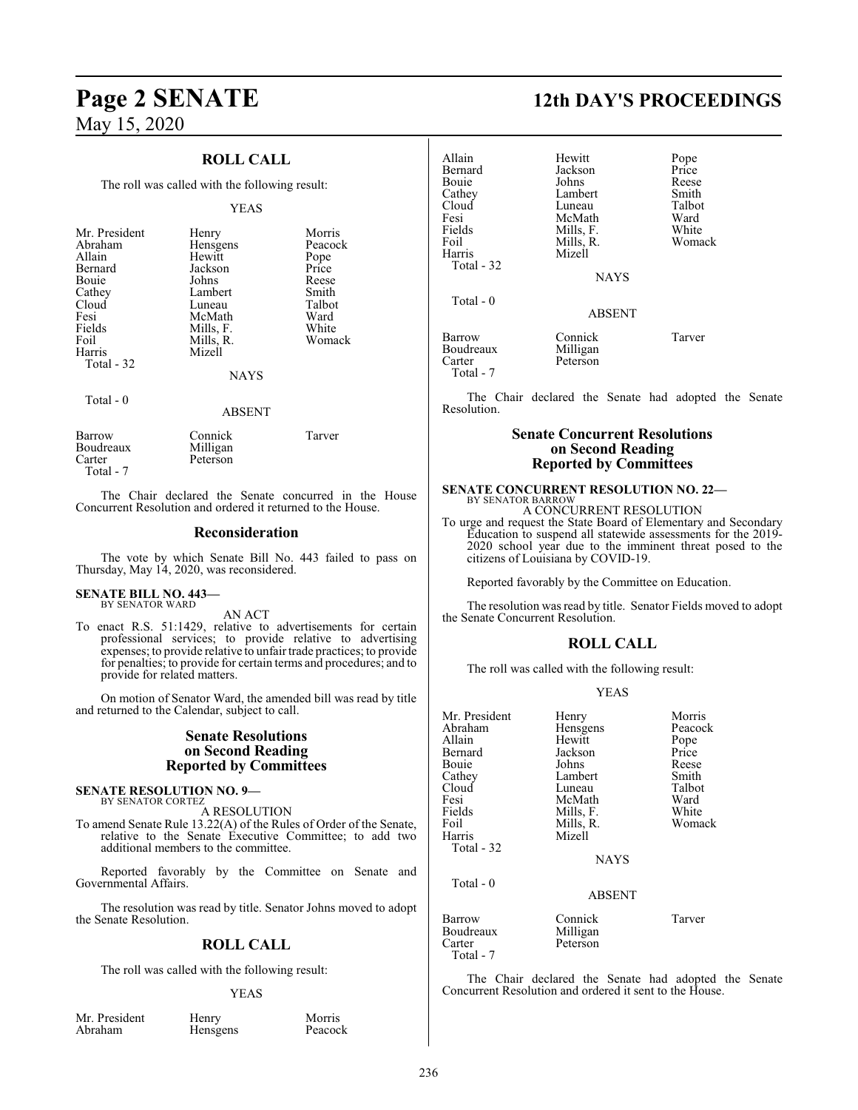### **ROLL CALL**

The roll was called with the following result:

#### YEAS

| Mr. President | Henry       | Morris  |
|---------------|-------------|---------|
| Abraham       | Hensgens    | Peacock |
| Allain        | Hewitt      | Pope    |
| Bernard       | Jackson     | Price   |
| <b>Bouje</b>  | Johns       | Reese   |
| Cathey        | Lambert     | Smith   |
| Cloud         | Luneau      | Talbot  |
| Fesi          | McMath      | Ward    |
| Fields        | Mills, F.   | White   |
| Foil          | Mills, R.   | Womack  |
| Harris        | Mizell      |         |
| Total - 32    |             |         |
|               | <b>NAYS</b> |         |
| Total $-0$    |             |         |
|               | ABSEN       |         |

| Barrow    | Connick  | Tarver |
|-----------|----------|--------|
| Boudreaux | Milligan |        |
| Carter    | Peterson |        |
| Total - 7 |          |        |

The Chair declared the Senate concurred in the House Concurrent Resolution and ordered it returned to the House.

#### **Reconsideration**

The vote by which Senate Bill No. 443 failed to pass on Thursday, May 14, 2020, was reconsidered.

#### **SENATE BILL NO. 443—** BY SENATOR WARD

AN ACT

To enact R.S. 51:1429, relative to advertisements for certain professional services; to provide relative to advertising expenses; to provide relative to unfair trade practices; to provide for penalties; to provide for certain terms and procedures; and to provide for related matters.

On motion of Senator Ward, the amended bill was read by title and returned to the Calendar, subject to call.

#### **Senate Resolutions on Second Reading Reported by Committees**

#### **SENATE RESOLUTION NO. 9—** BY SENATOR CORTEZ

A RESOLUTION

To amend Senate Rule 13.22(A) of the Rules of Order of the Senate, relative to the Senate Executive Committee; to add two additional members to the committee.

Reported favorably by the Committee on Senate and Governmental Affairs.

The resolution was read by title. Senator Johns moved to adopt the Senate Resolution.

#### **ROLL CALL**

The roll was called with the following result:

#### YEAS

Mr. President Henry Morris<br>Abraham Hensgens Peacock

Hensgens

# **Page 2 SENATE 12th DAY'S PROCEEDINGS**

| Allain<br>Bernard             | Hewitt<br>Jackson               | Pope<br>Price   |
|-------------------------------|---------------------------------|-----------------|
| Bouie                         | Johns                           | Reese           |
| Cathey<br>Cloud               | Lambert<br>Luneau               | Smith<br>Talbot |
| Fesi                          | McMath                          | Ward            |
| Fields                        | Mills, F.                       | White           |
| Foil                          | Mills, R.                       | Womack          |
| Harris<br>Total - 32          | Mizell                          |                 |
|                               | <b>NAYS</b>                     |                 |
| Total - 0                     |                                 |                 |
|                               | <b>ABSENT</b>                   |                 |
| Barrow<br>Boudreaux<br>Carter | Connick<br>Milligan<br>Peterson | Tarver          |
| Total - 7                     |                                 |                 |

The Chair declared the Senate had adopted the Senate Resolution.

#### **Senate Concurrent Resolutions on Second Reading Reported by Committees**

## **SENATE CONCURRENT RESOLUTION NO. 22—** BY SENATOR BARROW

A CONCURRENT RESOLUTION

To urge and request the State Board of Elementary and Secondary Education to suspend all statewide assessments for the 2019- 2020 school year due to the imminent threat posed to the citizens of Louisiana by COVID-19.

Reported favorably by the Committee on Education.

The resolution was read by title. Senator Fields moved to adopt the Senate Concurrent Resolution.

#### **ROLL CALL**

The roll was called with the following result:

#### YEAS

| Mr. President | Henry         | Morris  |
|---------------|---------------|---------|
| Abraham       | Hensgens      | Peacock |
| Allain        | Hewitt        | Pope    |
| Bernard       | Jackson       | Price   |
| Bouie         | Johns         | Reese   |
| Cathey        | Lambert       | Smith   |
| Cloud         | Luneau        | Talbot  |
| Fesi          | McMath        | Ward    |
| Fields        | Mills, F.     | White   |
| Foil          | Mills, R.     | Womack  |
| Harris        | Mizell        |         |
| Total - 32    |               |         |
|               | <b>NAYS</b>   |         |
| Total - 0     |               |         |
|               | <b>ABSENT</b> |         |
| Barrow        | Connick       | Tarver  |
| Boudreaux     | Milligan      |         |
| Carter        | Peterson      |         |
| Total - 7     |               |         |

The Chair declared the Senate had adopted the Senate Concurrent Resolution and ordered it sent to the House.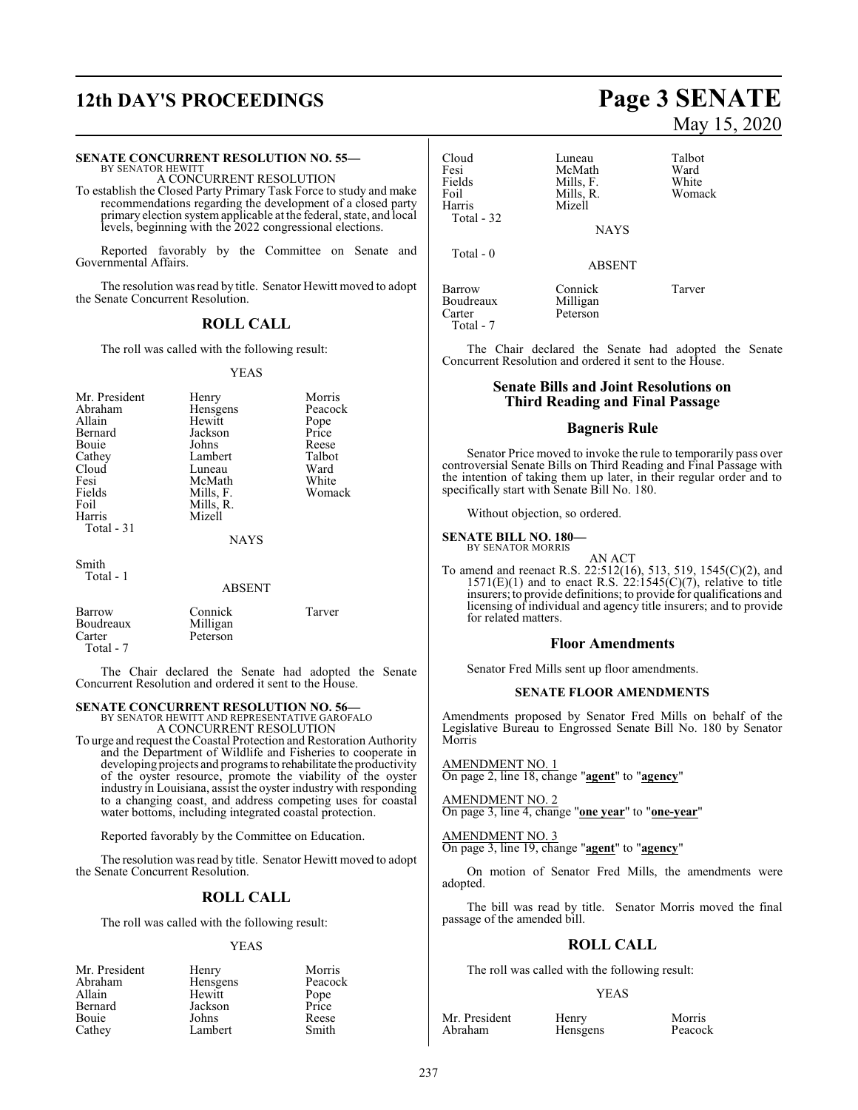# **12th DAY'S PROCEEDINGS Page 3 SENATE**

#### **SENATE CONCURRENT RESOLUTION NO. 55—**

BY SENATOR HEWITT A CONCURRENT RESOLUTION

To establish the Closed Party Primary Task Force to study and make recommendations regarding the development of a closed party primary election systemapplicable at the federal, state, and local levels, beginning with the 2022 congressional elections.

Reported favorably by the Committee on Senate and Governmental Affairs.

The resolution was read by title. Senator Hewitt moved to adopt the Senate Concurrent Resolution.

### **ROLL CALL**

The roll was called with the following result:

#### YEAS

| Mr. President<br>Abraham<br>Allain<br>Bernard<br>Bouie<br>Cathey<br>Cloud<br>Fesi<br>Fields<br>Foil<br>Harris<br>Total $-31$ | Henry<br>Hensgens<br>Hewitt<br>Jackson<br>Johns<br>Lambert<br>Luneau<br>McMath<br>Mills, F.<br>Mills, R.<br>Mizell<br><b>NAYS</b> | Morris<br>Peacock<br>Pope<br>Price<br>Reese<br>Talbot<br>Ward<br>White<br>Womack |
|------------------------------------------------------------------------------------------------------------------------------|-----------------------------------------------------------------------------------------------------------------------------------|----------------------------------------------------------------------------------|
| Smith<br>Total - 1                                                                                                           | <b>ABSENT</b>                                                                                                                     |                                                                                  |

| Barrow    | Connick  | Tarver |
|-----------|----------|--------|
| Boudreaux | Milligan |        |
| Carter    | Peterson |        |
| Total - 7 |          |        |

The Chair declared the Senate had adopted the Senate Concurrent Resolution and ordered it sent to the House.

# **SENATE CONCURRENT RESOLUTION NO. 56—** BY SENATOR HEWITT AND REPRESENTATIVE GAROFALO

A CONCURRENT RESOLUTION

To urge and request the Coastal Protection and Restoration Authority and the Department of Wildlife and Fisheries to cooperate in developing projects and programs to rehabilitate the productivity of the oyster resource, promote the viability of the oyster industry in Louisiana, assist the oyster industry with responding to a changing coast, and address competing uses for coastal water bottoms, including integrated coastal protection.

Reported favorably by the Committee on Education.

The resolution was read by title. Senator Hewitt moved to adopt the Senate Concurrent Resolution.

#### **ROLL CALL**

The roll was called with the following result:

#### YEAS

| Mr. President | Henry    | Morris        |
|---------------|----------|---------------|
| Abraham       | Hensgens | Peacock       |
| Allain        | Hewitt   | Pope<br>Price |
| Bernard       | Jackson  |               |
| Bouie         | Johns    | Reese         |
| Cathey        | Lambert  | Smith         |

# May 15, 2020

| Cloud      | Luneau        | Talbot |
|------------|---------------|--------|
| Fesi       | McMath        | Ward   |
| Fields     | Mills, F.     | White  |
| Foil       | Mills, R.     | Womack |
| Harris     | Mizell        |        |
| Total - 32 |               |        |
|            | <b>NAYS</b>   |        |
| Total - 0  |               |        |
|            | <b>ABSENT</b> |        |
| Barrow     | Connick       | Tarver |
| Boudreaux  | Milligan      |        |
| Carter     | Peterson      |        |
| Total - 7  |               |        |

The Chair declared the Senate had adopted the Senate Concurrent Resolution and ordered it sent to the House.

#### **Senate Bills and Joint Resolutions on Third Reading and Final Passage**

#### **Bagneris Rule**

Senator Price moved to invoke the rule to temporarily pass over controversial Senate Bills on Third Reading and Final Passage with the intention of taking them up later, in their regular order and to specifically start with Senate Bill No. 180.

Without objection, so ordered.

**SENATE BILL NO. 180—** BY SENATOR MORRIS

AN ACT

To amend and reenact R.S. 22:512(16), 513, 519, 1545(C)(2), and  $1571(E)(1)$  and to enact R.S.  $22:1545(C)(7)$ , relative to title insurers; to provide definitions; to provide for qualifications and licensing of individual and agency title insurers; and to provide for related matters.

#### **Floor Amendments**

Senator Fred Mills sent up floor amendments.

#### **SENATE FLOOR AMENDMENTS**

Amendments proposed by Senator Fred Mills on behalf of the Legislative Bureau to Engrossed Senate Bill No. 180 by Senator Morris

AMENDMENT NO. 1 On page 2, line 18, change "**agent**" to "**agency**"

AMENDMENT NO. 2 On page 3, line 4, change "**one year**" to "**one-year**"

#### AMENDMENT NO. 3

On page 3, line 19, change "**agent**" to "**agency**"

On motion of Senator Fred Mills, the amendments were adopted.

The bill was read by title. Senator Morris moved the final passage of the amended bill.

#### **ROLL CALL**

The roll was called with the following result:

Hensgens

#### YEAS

Mr. President Henry Morris<br>Abraham Hensgens Peacock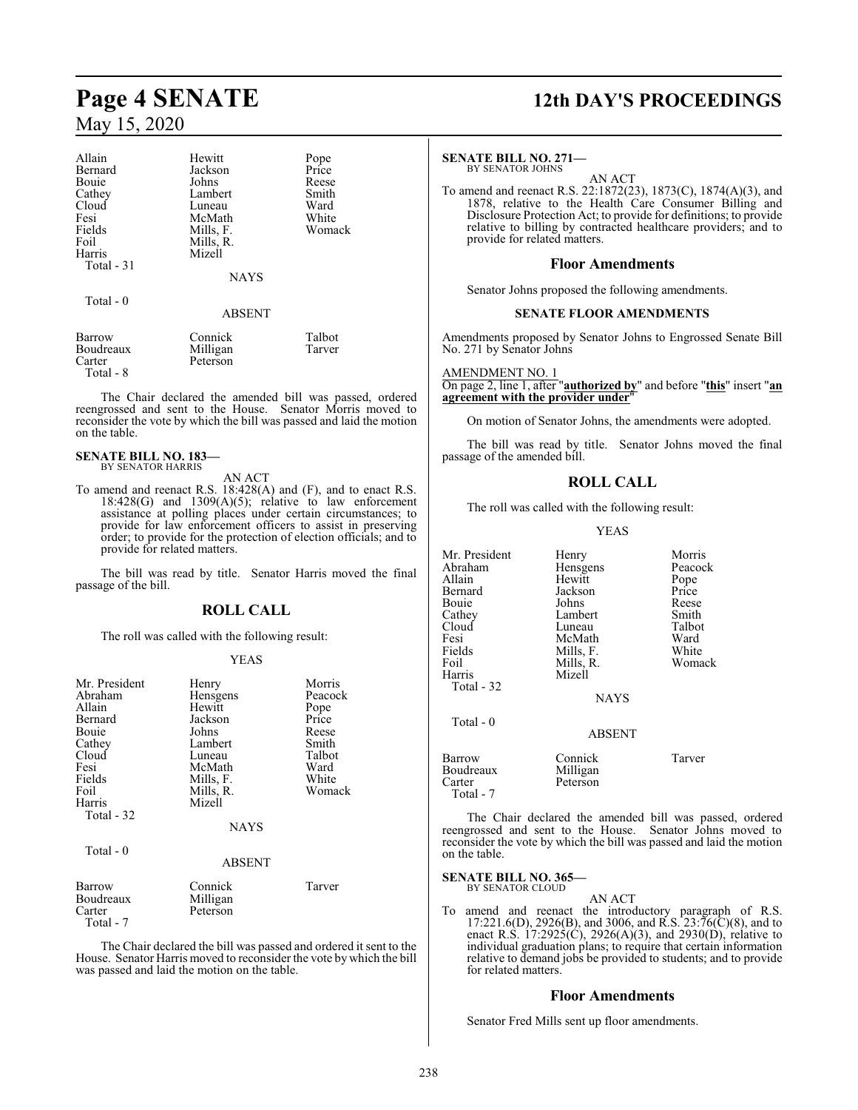| Allain      | Hewitt        | Pope   |
|-------------|---------------|--------|
| Bernard     | Jackson       | Price  |
| Bouie       | Johns         | Reese  |
| Cathey      | Lambert       | Smith  |
| Cloud       | Luneau        | Ward   |
| Fesi        | McMath        | White  |
| Fields      | Mills, F.     | Womack |
| Foil        | Mills, R.     |        |
| Harris      | Mizell        |        |
| Total $-31$ |               |        |
|             | <b>NAYS</b>   |        |
| Total - 0   |               |        |
|             | <b>ABSENT</b> |        |
| Barrow      | Connick       | Talbot |
| Boudreaux   | Milligan      | Tarver |
| Carter      | Peterson      |        |

The Chair declared the amended bill was passed, ordered reengrossed and sent to the House. Senator Morris moved to reconsider the vote by which the bill was passed and laid the motion on the table.

#### **SENATE BILL NO. 183—** BY SENATOR HARRIS

Total - 8

AN ACT

To amend and reenact R.S. 18:428(A) and (F), and to enact R.S.  $18:428(G)$  and  $1309(A)(5)$ ; relative to law enforcement assistance at polling places under certain circumstances; to provide for law enforcement officers to assist in preserving order; to provide for the protection of election officials; and to provide for related matters.

The bill was read by title. Senator Harris moved the final passage of the bill.

#### **ROLL CALL**

The roll was called with the following result:

#### YEAS

| Mr. President<br>Abraham<br>Allain<br>Bernard<br>Bouie<br>Cathey<br>Cloud<br>Fesi<br>Fields<br>Foil<br>Harris<br>Total - 32 | Henry<br>Hensgens<br>Hewitt<br>Jackson<br>Johns<br>Lambert<br>Luneau<br>McMath<br>Mills, F.<br>Mills, R.<br>Mizell<br><b>NAYS</b> | Morris<br>Peacock<br>Pope<br>Price<br>Reese<br>Smith<br>Talbot<br>Ward<br>White<br>Womack |
|-----------------------------------------------------------------------------------------------------------------------------|-----------------------------------------------------------------------------------------------------------------------------------|-------------------------------------------------------------------------------------------|
| Total - 0                                                                                                                   | <b>ABSENT</b>                                                                                                                     |                                                                                           |
| Barrow<br>Boudreaux<br>Carter<br>Total - 7                                                                                  | Connick<br>Milligan<br>Peterson                                                                                                   | Tarver                                                                                    |

The Chair declared the bill was passed and ordered it sent to the House. Senator Harris moved to reconsider the vote by which the bill was passed and laid the motion on the table.

# **Page 4 SENATE 12th DAY'S PROCEEDINGS**

#### **SENATE BILL NO. 271—**

BY SENATOR JOHNS

AN ACT To amend and reenact R.S. 22:1872(23), 1873(C), 1874(A)(3), and 1878, relative to the Health Care Consumer Billing and Disclosure Protection Act; to provide for definitions; to provide relative to billing by contracted healthcare providers; and to provide for related matters.

#### **Floor Amendments**

Senator Johns proposed the following amendments.

#### **SENATE FLOOR AMENDMENTS**

Amendments proposed by Senator Johns to Engrossed Senate Bill No. 271 by Senator Johns

AMENDMENT NO. 1 On page 2, line 1, after "**authorized by**" and before "**this**" insert "**an agreement with the provider under**"

On motion of Senator Johns, the amendments were adopted.

The bill was read by title. Senator Johns moved the final passage of the amended bill.

### **ROLL CALL**

The roll was called with the following result:

YEAS

| Mr. President<br>Abraham<br>Allain<br>Bernard<br>Bouie<br>Cathey<br>Cloud<br>Fesi<br>Fields<br>Foil<br>Harris<br>Total - 32 | Henry<br>Hensgens<br>Hewitt<br>Jackson<br>Johns<br>Lambert<br>Luneau<br>McMath<br>Mills, F.<br>Mills, R.<br>Mizell<br><b>NAYS</b> | Morris<br>Peacock<br>Pope<br>Price<br>Reese<br>Smith<br>Talbot<br>Ward<br>White<br>Womack |
|-----------------------------------------------------------------------------------------------------------------------------|-----------------------------------------------------------------------------------------------------------------------------------|-------------------------------------------------------------------------------------------|
| Total - 0                                                                                                                   | <b>ABSENT</b>                                                                                                                     |                                                                                           |
| Barrow<br>Boudreaux<br>Carter<br>Total - 7                                                                                  | Connick<br>Milligan<br>Peterson                                                                                                   | Tarver                                                                                    |

The Chair declared the amended bill was passed, ordered reengrossed and sent to the House. Senator Johns moved to reconsider the vote by which the bill was passed and laid the motion on the table.

#### **SENATE BILL NO. 365—** BY SENATOR CLOUD

AN ACT To amend and reenact the introductory paragraph of R.S.  $17:221.6(D)$ ,  $2926(B)$ , and  $3006$ , and R.S.  $23:76(\overline{C})(8)$ , and to enact R.S. 17:2925(C), 2926(A)(3), and 2930(D), relative to individual graduation plans; to require that certain information relative to demand jobs be provided to students; and to provide for related matters.

#### **Floor Amendments**

Senator Fred Mills sent up floor amendments.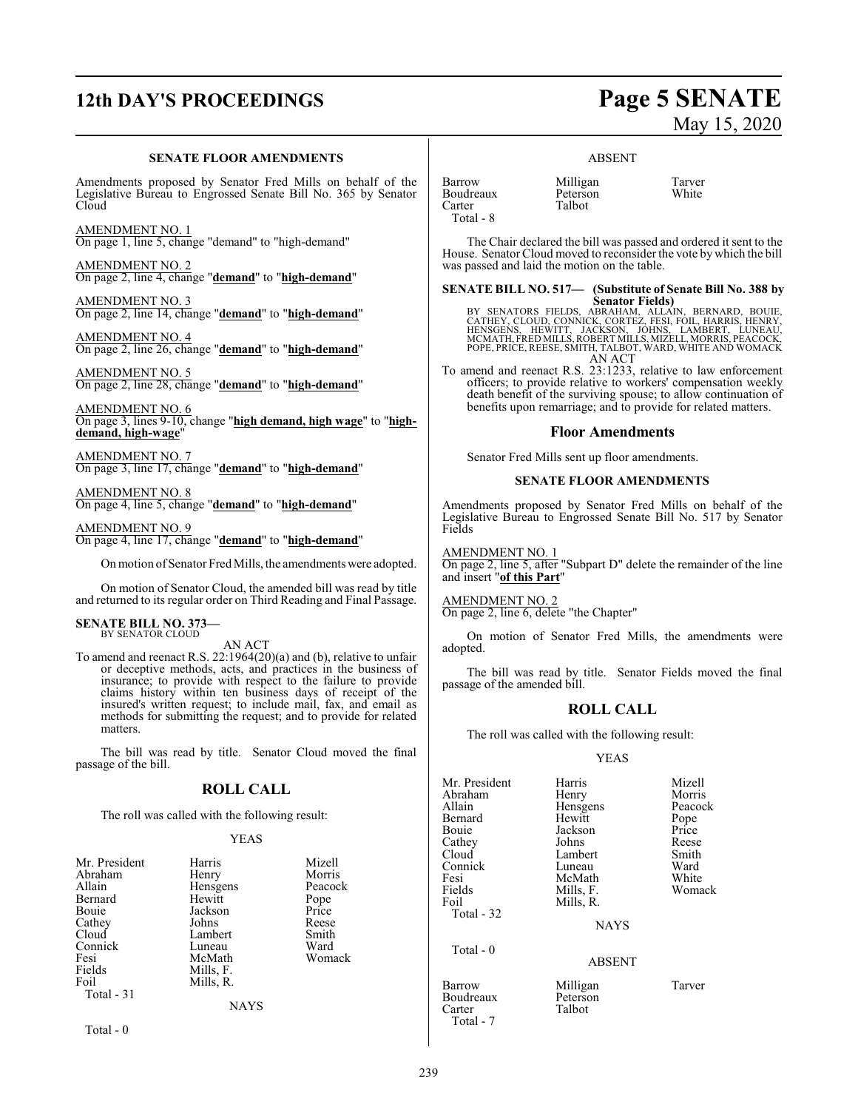# **12th DAY'S PROCEEDINGS Page 5 SENATE**

#### **SENATE FLOOR AMENDMENTS**

Amendments proposed by Senator Fred Mills on behalf of the Legislative Bureau to Engrossed Senate Bill No. 365 by Senator Cloud

AMENDMENT NO. 1 On page 1, line 5, change "demand" to "high-demand"

AMENDMENT NO. 2 On page 2, line 4, change "**demand**" to "**high-demand**"

AMENDMENT NO. 3 On page 2, line 14, change "**demand**" to "**high-demand**"

AMENDMENT NO. 4 On page 2, line 26, change "**demand**" to "**high-demand**"

AMENDMENT NO. 5 On page 2, line 28, change "**demand**" to "**high-demand**"

AMENDMENT NO. 6 On page 3, lines 9-10, change "**high demand, high wage**" to "**highdemand, high-wage**"

AMENDMENT NO. 7 On page 3, line 17, change "**demand**" to "**high-demand**"

AMENDMENT NO. 8 On page 4, line 5, change "**demand**" to "**high-demand**"

AMENDMENT NO. 9 On page 4, line 17, change "**demand**" to "**high-demand**"

Onmotion ofSenator Fred Mills, the amendments were adopted.

On motion of Senator Cloud, the amended bill was read by title and returned to its regular order on Third Reading and Final Passage.

#### **SENATE BILL NO. 373—** BY SENATOR CLOUD

AN ACT

To amend and reenact R.S. 22:1964(20)(a) and (b), relative to unfair or deceptive methods, acts, and practices in the business of insurance; to provide with respect to the failure to provide claims history within ten business days of receipt of the insured's written request; to include mail, fax, and email as methods for submitting the request; and to provide for related matters.

The bill was read by title. Senator Cloud moved the final passage of the bill.

#### **ROLL CALL**

The roll was called with the following result:

#### YEAS

| Mr. President                | Harris                 | Mizell  |
|------------------------------|------------------------|---------|
| Abraham                      | Henry                  | Morris  |
| Allain                       | Hensgens               | Peacock |
| Bernard                      | Hewitt                 | Pope    |
| Bouie                        | Jackson                | Price   |
| Cathey                       | Johns                  | Reese   |
| Cloud                        | Lambert                | Smith   |
| Connick                      | Luneau                 | Ward    |
| Fesi                         | McMath                 | Womack  |
| Fields<br>Foil<br>Total - 31 | Mills, F.<br>Mills, R. |         |
|                              | <b>NAYS</b>            |         |

 $Total - 0$ 

# May 15, 2020

#### ABSENT

Talbot

Barrow Milligan Tarver Boudreaux Peterson<br>Carter Talbot Total - 8

The Chair declared the bill was passed and ordered it sent to the House. Senator Cloud moved to reconsider the vote by which the bill was passed and laid the motion on the table.

**SENATE BILL NO. 517— (Substitute of Senate Bill No. 388 by**

Senator Fields)<br>CATHEY, CLOUD, CONNICK, CORTEZ, FESI, FOLLAIN, BERNARD, BOUIE,<br>CATHEY, CLOUD, CONNICK, CORTEZ, FESI, FOIL, HARRIS, HENRY,<br>MENSGENS, HEWITT, JACKSON, JOHNS, LAMBERT, LUNEAU,<br>MCMATH, FRED MILLS, ROBERT MILLS, AN ACT

To amend and reenact R.S. 23:1233, relative to law enforcement officers; to provide relative to workers' compensation weekly death benefit of the surviving spouse; to allow continuation of benefits upon remarriage; and to provide for related matters.

#### **Floor Amendments**

Senator Fred Mills sent up floor amendments.

#### **SENATE FLOOR AMENDMENTS**

Amendments proposed by Senator Fred Mills on behalf of the Legislative Bureau to Engrossed Senate Bill No. 517 by Senator Fields

AMENDMENT NO. 1

On page 2, line 5, after "Subpart D" delete the remainder of the line and insert "**of this Part**"

#### AMENDMENT NO. 2

On page 2, line 6, delete "the Chapter"

On motion of Senator Fred Mills, the amendments were adopted.

The bill was read by title. Senator Fields moved the final passage of the amended bill.

### **ROLL CALL**

The roll was called with the following result:

#### YEAS

| Harris        | Mizell                          |
|---------------|---------------------------------|
|               | Morris                          |
| Hensgens      | Peacock                         |
| Hewitt        | Pope                            |
| Jackson       | Price                           |
| Johns         | Reese                           |
| Lambert       | Smith                           |
| Luneau        | Ward                            |
| McMath        | White                           |
|               | Womack                          |
|               |                                 |
|               |                                 |
| <b>NAYS</b>   |                                 |
|               |                                 |
| <b>ABSENT</b> |                                 |
| 1.7111        | —                               |
|               | Henry<br>Mills, F.<br>Mills, R. |

Barrow Milligan Tarver Talbot

Boudreaux<br>Carter

Total - 7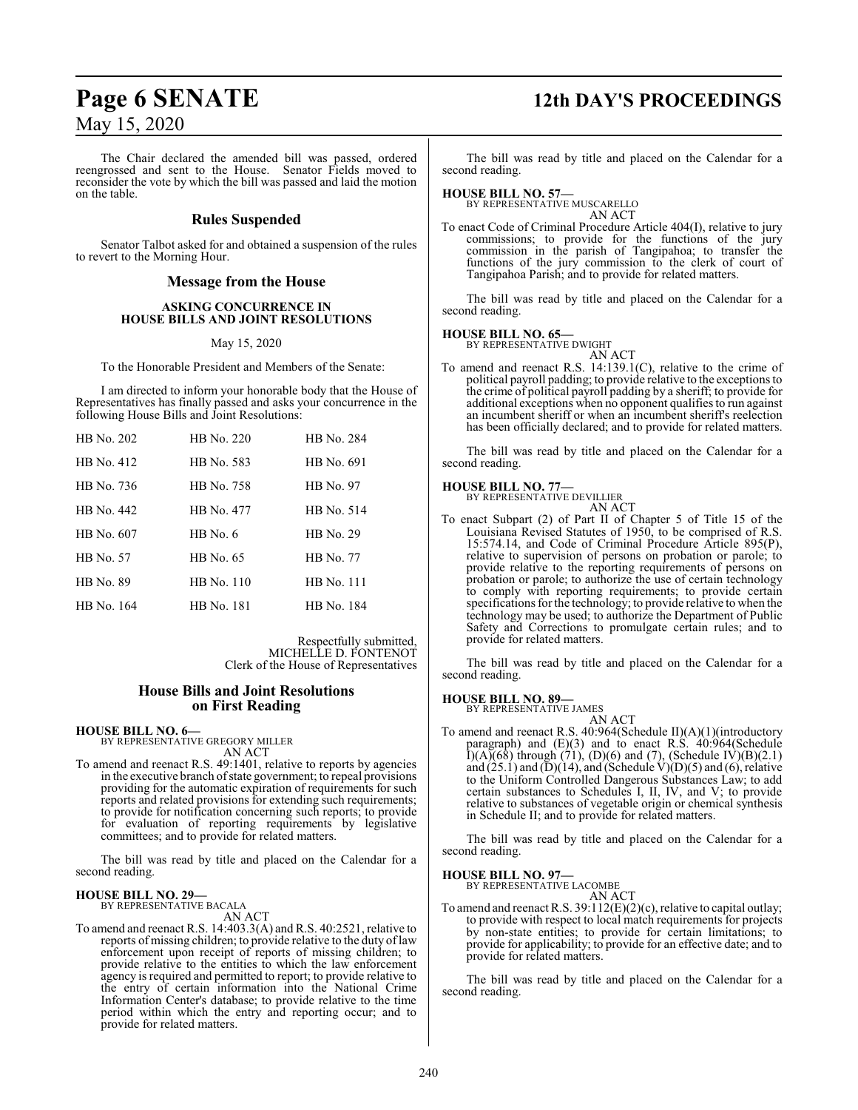The Chair declared the amended bill was passed, ordered reengrossed and sent to the House. Senator Fields moved to reconsider the vote by which the bill was passed and laid the motion on the table.

#### **Rules Suspended**

Senator Talbot asked for and obtained a suspension of the rules to revert to the Morning Hour.

#### **Message from the House**

#### **ASKING CONCURRENCE IN HOUSE BILLS AND JOINT RESOLUTIONS**

May 15, 2020

To the Honorable President and Members of the Senate:

I am directed to inform your honorable body that the House of Representatives has finally passed and asks your concurrence in the following House Bills and Joint Resolutions:

| HB No. 202 | HR No. 220 | HB No. 284       |
|------------|------------|------------------|
| HB No. 412 | HB No. 583 | HB No. 691       |
| HB No. 736 | HB No. 758 | <b>HB</b> No. 97 |
| HB No. 442 | HB No. 477 | HB No. 514       |
| HB No. 607 | $HB$ No. 6 | HB No. 29        |
| HB No. 57  | HB No. 65  | HB No. 77        |
| HB No. 89  | HB No. 110 | HB No. 111       |
| HB No. 164 | HB No. 181 | HB No. 184       |

Respectfully submitted, MICHELLE D. FONTENOT Clerk of the House of Representatives

#### **House Bills and Joint Resolutions on First Reading**

**HOUSE BILL NO. 6—** BY REPRESENTATIVE GREGORY MILLER AN ACT

To amend and reenact R.S. 49:1401, relative to reports by agencies in the executive branch ofstate government; to repeal provisions providing for the automatic expiration of requirements for such reports and related provisions for extending such requirements; to provide for notification concerning such reports; to provide for evaluation of reporting requirements by legislative committees; and to provide for related matters.

The bill was read by title and placed on the Calendar for a second reading.

#### **HOUSE BILL NO. 29—** BY REPRESENTATIVE BACALA

AN ACT

To amend and reenact R.S. 14:403.3(A) and R.S. 40:2521, relative to reports of missing children; to provide relative to the duty oflaw enforcement upon receipt of reports of missing children; to provide relative to the entities to which the law enforcement agency is required and permitted to report; to provide relative to the entry of certain information into the National Crime Information Center's database; to provide relative to the time period within which the entry and reporting occur; and to provide for related matters.

# **Page 6 SENATE 12th DAY'S PROCEEDINGS**

The bill was read by title and placed on the Calendar for a second reading.

#### **HOUSE BILL NO. 57—**

BY REPRESENTATIVE MUSCARELLO AN ACT

To enact Code of Criminal Procedure Article 404(I), relative to jury commissions; to provide for the functions of the jury commission in the parish of Tangipahoa; to transfer the functions of the jury commission to the clerk of court of Tangipahoa Parish; and to provide for related matters.

The bill was read by title and placed on the Calendar for a second reading.

## **HOUSE BILL NO. 65—** BY REPRESENTATIVE DWIGHT

AN ACT

To amend and reenact R.S. 14:139.1(C), relative to the crime of political payroll padding; to provide relative to the exceptions to the crime of political payroll padding by a sheriff; to provide for additional exceptions when no opponent qualifies to run against an incumbent sheriff or when an incumbent sheriff's reelection has been officially declared; and to provide for related matters.

The bill was read by title and placed on the Calendar for a second reading.

# **HOUSE BILL NO. 77—** BY REPRESENTATIVE DEVILLIER

AN ACT

To enact Subpart (2) of Part II of Chapter 5 of Title 15 of the Louisiana Revised Statutes of 1950, to be comprised of R.S. 15:574.14, and Code of Criminal Procedure Article 895(P), relative to supervision of persons on probation or parole; to provide relative to the reporting requirements of persons on probation or parole; to authorize the use of certain technology to comply with reporting requirements; to provide certain specifications for the technology; to provide relative to when the technology may be used; to authorize the Department of Public Safety and Corrections to promulgate certain rules; and to provide for related matters.

The bill was read by title and placed on the Calendar for a second reading.

**HOUSE BILL NO. 89—**

BY REPRESENTATIVE JAMES

AN ACT To amend and reenact R.S. 40:964(Schedule II)(A)(1)(introductory paragraph) and (E)(3) and to enact R.S. 40:964(Schedule  $I(A)(68)$  through (71), (D)(6) and (7), (Schedule IV)(B)(2.1) and  $(25.1)$  and  $(D)(14)$ , and (Schedule V) $(D)(5)$  and  $(6)$ , relative to the Uniform Controlled Dangerous Substances Law; to add certain substances to Schedules I, II, IV, and V; to provide relative to substances of vegetable origin or chemical synthesis in Schedule II; and to provide for related matters.

The bill was read by title and placed on the Calendar for a second reading.

#### **HOUSE BILL NO. 97—**

BY REPRESENTATIVE LACOMBE AN ACT

To amend and reenact R.S. 39:112(E)(2)(c), relative to capital outlay; to provide with respect to local match requirements for projects by non-state entities; to provide for certain limitations; to provide for applicability; to provide for an effective date; and to provide for related matters.

The bill was read by title and placed on the Calendar for a second reading.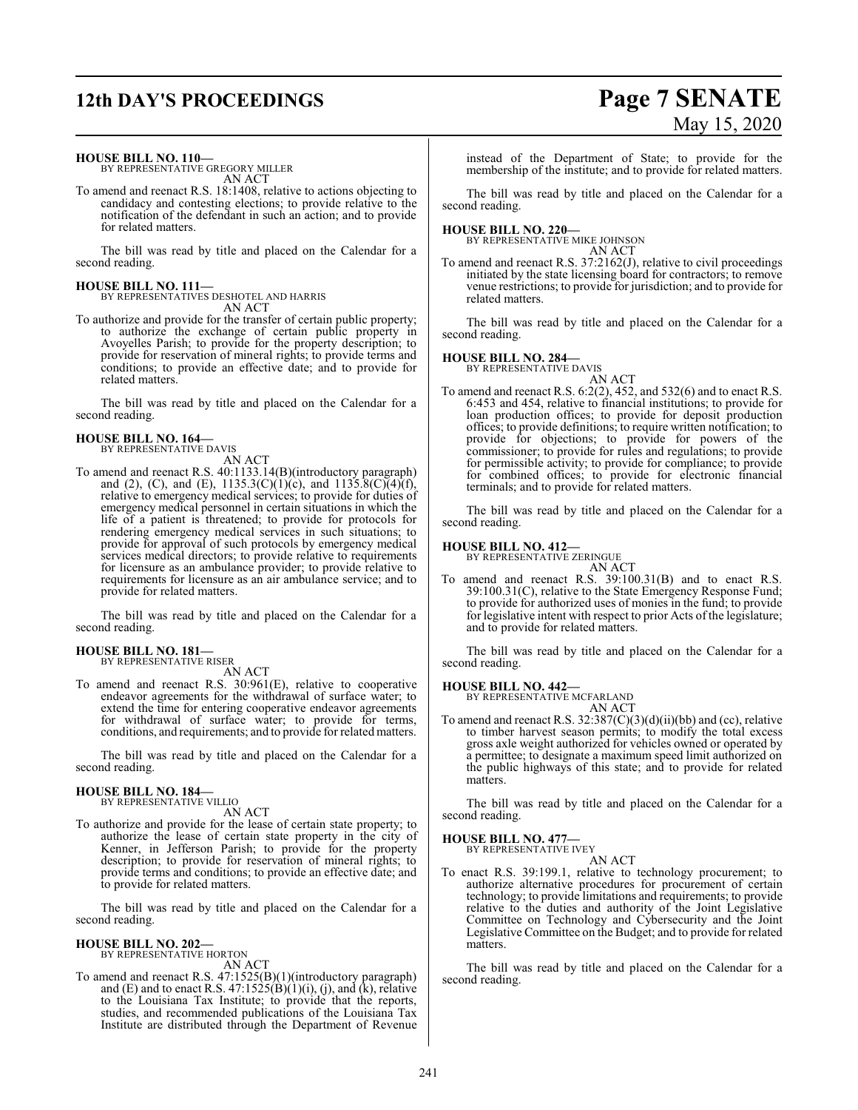# **12th DAY'S PROCEEDINGS Page 7 SENATE**

# May 15, 2020

**HOUSE BILL NO. 110—**

BY REPRESENTATIVE GREGORY MILLER AN ACT

To amend and reenact R.S. 18:1408, relative to actions objecting to candidacy and contesting elections; to provide relative to the notification of the defendant in such an action; and to provide for related matters.

The bill was read by title and placed on the Calendar for a second reading.

**HOUSE BILL NO. 111—** BY REPRESENTATIVES DESHOTEL AND HARRIS AN ACT

To authorize and provide for the transfer of certain public property; to authorize the exchange of certain public property in Avoyelles Parish; to provide for the property description; to provide for reservation of mineral rights; to provide terms and conditions; to provide an effective date; and to provide for related matters.

The bill was read by title and placed on the Calendar for a second reading.

#### **HOUSE BILL NO. 164—** BY REPRESENTATIVE DAVIS

AN ACT

To amend and reenact R.S. 40:1133.14(B)(introductory paragraph) and (2), (C), and (E),  $1135.3(C)(1)(c)$ , and  $1135.8(C)(4)(f)$ , relative to emergency medical services; to provide for duties of emergency medical personnel in certain situations in which the life of a patient is threatened; to provide for protocols for rendering emergency medical services in such situations; to provide for approval of such protocols by emergency medical services medical directors; to provide relative to requirements for licensure as an ambulance provider; to provide relative to requirements for licensure as an air ambulance service; and to provide for related matters.

The bill was read by title and placed on the Calendar for a second reading.

#### **HOUSE BILL NO. 181—** BY REPRESENTATIVE RISER

AN ACT

To amend and reenact R.S. 30:961(E), relative to cooperative endeavor agreements for the withdrawal of surface water; to extend the time for entering cooperative endeavor agreements for withdrawal of surface water; to provide for terms, conditions, and requirements; and to provide for related matters.

The bill was read by title and placed on the Calendar for a second reading.

# **HOUSE BILL NO. 184—** BY REPRESENTATIVE VILLIO

AN ACT

To authorize and provide for the lease of certain state property; to authorize the lease of certain state property in the city of Kenner, in Jefferson Parish; to provide for the property description; to provide for reservation of mineral rights; to provide terms and conditions; to provide an effective date; and to provide for related matters.

The bill was read by title and placed on the Calendar for a second reading.

#### **HOUSE BILL NO. 202—** BY REPRESENTATIVE HORTON

AN ACT

To amend and reenact R.S. 47:1525(B)(1)(introductory paragraph) and (E) and to enact R.S.  $47:1525(B)(1)(i)$ , (j), and (k), relative to the Louisiana Tax Institute; to provide that the reports, studies, and recommended publications of the Louisiana Tax Institute are distributed through the Department of Revenue

instead of the Department of State; to provide for the membership of the institute; and to provide for related matters.

The bill was read by title and placed on the Calendar for a second reading.

**HOUSE BILL NO. 220—** BY REPRESENTATIVE MIKE JOHNSON AN ACT

To amend and reenact R.S. 37:2162(J), relative to civil proceedings initiated by the state licensing board for contractors; to remove venue restrictions; to provide for jurisdiction; and to provide for related matters.

The bill was read by title and placed on the Calendar for a second reading.

#### **HOUSE BILL NO. 284—**

BY REPRESENTATIVE DAVIS

AN ACT To amend and reenact R.S. 6:2(2), 452, and 532(6) and to enact R.S. 6:453 and 454, relative to financial institutions; to provide for loan production offices; to provide for deposit production offices; to provide definitions; to require written notification; to provide for objections; to provide for powers of the commissioner; to provide for rules and regulations; to provide for permissible activity; to provide for compliance; to provide for combined offices; to provide for electronic financial terminals; and to provide for related matters.

The bill was read by title and placed on the Calendar for a second reading.

# **HOUSE BILL NO. 412—** BY REPRESENTATIVE ZERINGUE

AN ACT

To amend and reenact R.S. 39:100.31(B) and to enact R.S. 39:100.31(C), relative to the State Emergency Response Fund; to provide for authorized uses of monies in the fund; to provide for legislative intent with respect to prior Acts of the legislature; and to provide for related matters.

The bill was read by title and placed on the Calendar for a second reading.

#### **HOUSE BILL NO. 442—**

BY REPRESENTATIVE MCFARLAND AN ACT

To amend and reenact R.S. 32:387(C)(3)(d)(ii)(bb) and (cc), relative to timber harvest season permits; to modify the total excess gross axle weight authorized for vehicles owned or operated by a permittee; to designate a maximum speed limit authorized on the public highways of this state; and to provide for related matters.

The bill was read by title and placed on the Calendar for a second reading.

#### **HOUSE BILL NO. 477—**

BY REPRESENTATIVE IVEY AN ACT

To enact R.S. 39:199.1, relative to technology procurement; to authorize alternative procedures for procurement of certain technology; to provide limitations and requirements; to provide relative to the duties and authority of the Joint Legislative Committee on Technology and Cybersecurity and the Joint Legislative Committee on the Budget; and to provide for related matters.

The bill was read by title and placed on the Calendar for a second reading.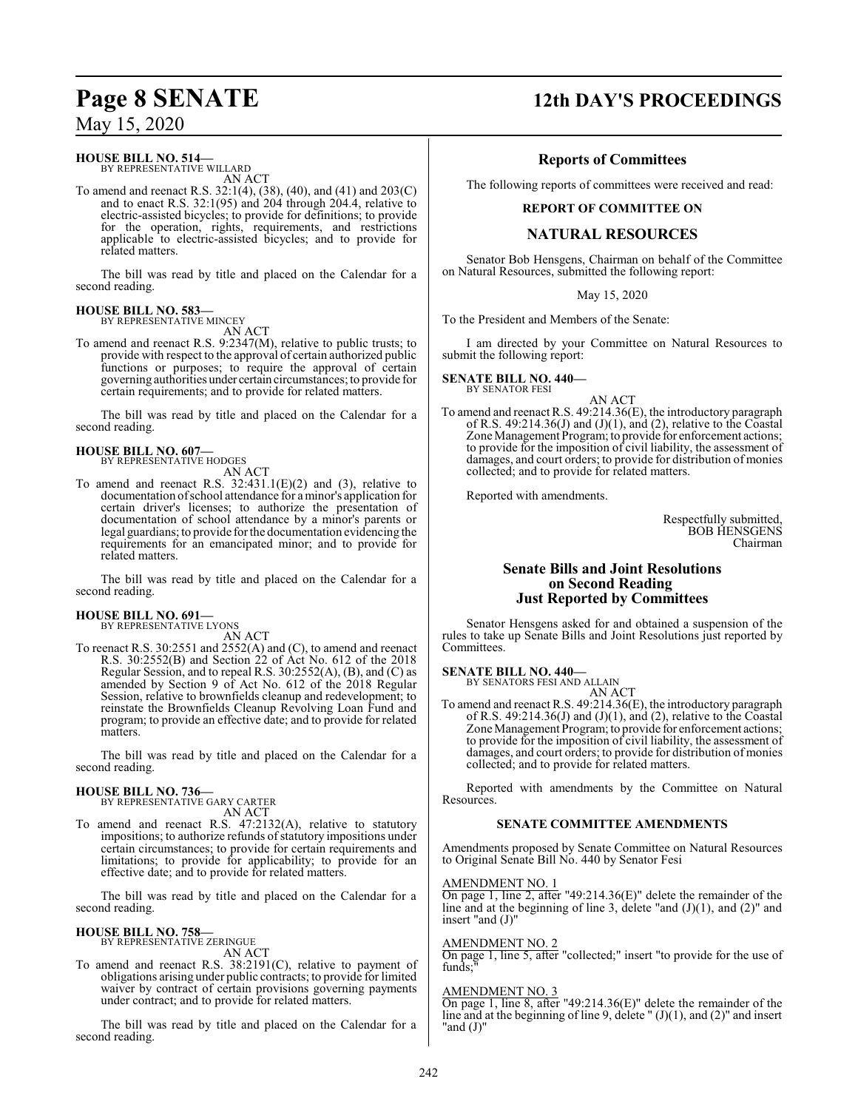#### **HOUSE BILL NO. 514—**

BY REPRESENTATIVE WILLARD AN ACT

To amend and reenact R.S. 32:1(4), (38), (40), and (41) and 203(C) and to enact R.S. 32:1(95) and 204 through 204.4, relative to electric-assisted bicycles; to provide for definitions; to provide for the operation, rights, requirements, and restrictions applicable to electric-assisted bicycles; and to provide for related matters.

The bill was read by title and placed on the Calendar for a second reading.

#### **HOUSE BILL NO. 583—** BY REPRESENTATIVE MINCEY

AN ACT

To amend and reenact R.S. 9:2347(M), relative to public trusts; to provide with respect to the approval of certain authorized public functions or purposes; to require the approval of certain governing authorities under certain circumstances; to provide for certain requirements; and to provide for related matters.

The bill was read by title and placed on the Calendar for a second reading.

#### **HOUSE BILL NO. 607—** BY REPRESENTATIVE HODGES

AN ACT

To amend and reenact R.S. 32:431.1(E)(2) and (3), relative to documentation ofschool attendance for a minor's application for certain driver's licenses; to authorize the presentation of documentation of school attendance by a minor's parents or legal guardians; to provide for the documentation evidencing the requirements for an emancipated minor; and to provide for related matters.

The bill was read by title and placed on the Calendar for a second reading.

#### **HOUSE BILL NO. 691—** BY REPRESENTATIVE LYONS

AN ACT

To reenact R.S. 30:2551 and 2552(A) and (C), to amend and reenact R.S. 30:2552(B) and Section 22 of Act No. 612 of the 2018 Regular Session, and to repeal R.S. 30:2552(A), (B), and (C) as amended by Section 9 of Act No. 612 of the 2018 Regular Session, relative to brownfields cleanup and redevelopment; to reinstate the Brownfields Cleanup Revolving Loan Fund and program; to provide an effective date; and to provide for related matters.

The bill was read by title and placed on the Calendar for a second reading.

# **HOUSE BILL NO. 736—** BY REPRESENTATIVE GARY CARTER

AN ACT

To amend and reenact R.S. 47:2132(A), relative to statutory impositions; to authorize refunds of statutory impositions under certain circumstances; to provide for certain requirements and limitations; to provide for applicability; to provide for an effective date; and to provide for related matters.

The bill was read by title and placed on the Calendar for a second reading.

#### **HOUSE BILL NO. 758—**

BY REPRESENTATIVE ZERINGUE AN ACT

To amend and reenact R.S. 38:2191(C), relative to payment of obligations arising under public contracts; to provide for limited waiver by contract of certain provisions governing payments under contract; and to provide for related matters.

The bill was read by title and placed on the Calendar for a second reading.

## **Page 8 SENATE 12th DAY'S PROCEEDINGS**

#### **Reports of Committees**

The following reports of committees were received and read:

#### **REPORT OF COMMITTEE ON**

### **NATURAL RESOURCES**

Senator Bob Hensgens, Chairman on behalf of the Committee on Natural Resources, submitted the following report:

May 15, 2020

To the President and Members of the Senate:

I am directed by your Committee on Natural Resources to submit the following report:

**SENATE BILL NO. 440—** BY SENATOR FESI

AN ACT

To amend and reenact R.S. 49:214.36(E), the introductory paragraph of R.S. 49:214.36(J) and  $(J)(1)$ , and  $(2)$ , relative to the Coastal Zone Management Program; to provide for enforcement actions; to provide for the imposition of civil liability, the assessment of damages, and court orders; to provide for distribution of monies collected; and to provide for related matters.

Reported with amendments.

Respectfully submitted, BOB HENSGENS Chairman

#### **Senate Bills and Joint Resolutions on Second Reading Just Reported by Committees**

Senator Hensgens asked for and obtained a suspension of the rules to take up Senate Bills and Joint Resolutions just reported by Committees.

**SENATE BILL NO. 440—** BY SENATORS FESI AND ALLAIN

AN ACT

To amend and reenact R.S. 49:214.36(E), the introductory paragraph of R.S. 49:214.36(J) and  $(J)(1)$ , and  $(2)$ , relative to the Coastal Zone Management Program; to provide for enforcement actions; to provide for the imposition of civil liability, the assessment of damages, and court orders; to provide for distribution of monies collected; and to provide for related matters.

Reported with amendments by the Committee on Natural Resources.

#### **SENATE COMMITTEE AMENDMENTS**

Amendments proposed by Senate Committee on Natural Resources to Original Senate Bill No. 440 by Senator Fesi

AMENDMENT NO. 1

On page 1, line 2, after "49:214.36(E)" delete the remainder of the line and at the beginning of line 3, delete "and (J)(1), and (2)" and insert "and (J)"

AMENDMENT NO. 2

On page 1, line 5, after "collected;" insert "to provide for the use of funds;"

#### AMENDMENT NO. 3

On page 1, line 8, after "49:214.36(E)" delete the remainder of the line and at the beginning of line 9, delete  $" (J)(1)$ , and  $(2)"$  and insert "and (J)"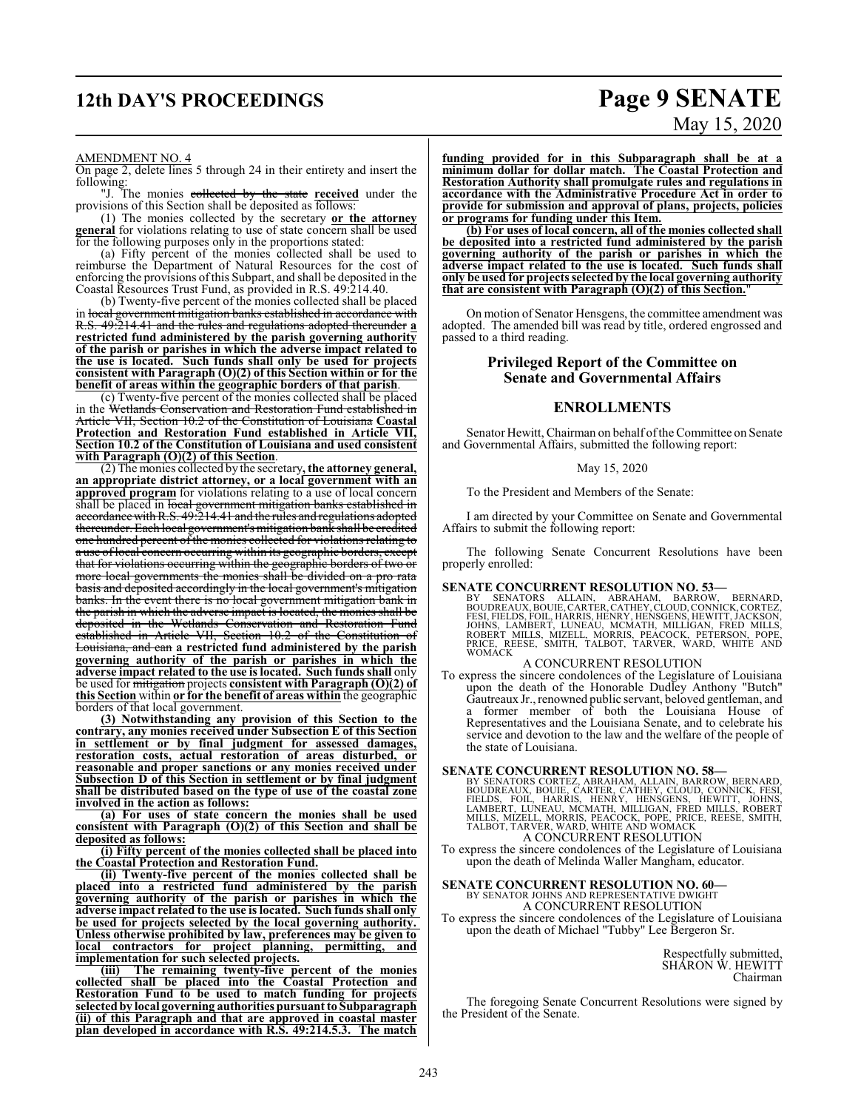# **12th DAY'S PROCEEDINGS Page 9 SENATE**

# May 15, 2020

#### AMENDMENT NO. 4

On page 2, delete lines 5 through 24 in their entirety and insert the following:

"J. The monies collected by the state **received** under the provisions of this Section shall be deposited as follows:

(1) The monies collected by the secretary **or the attorney general** for violations relating to use of state concern shall be used for the following purposes only in the proportions stated:

(a) Fifty percent of the monies collected shall be used to reimburse the Department of Natural Resources for the cost of enforcing the provisions ofthis Subpart, and shall be deposited in the Coastal Resources Trust Fund, as provided in R.S. 49:214.40.

(b) Twenty-five percent of the monies collected shall be placed in local government mitigation banks established in accordance with R.S. 49:214.41 and the rules and regulations adopted thereunder **a restricted fund administered by the parish governing authority of the parish or parishes in which the adverse impact related to the use is located. Such funds shall only be used for projects consistent with Paragraph (O)(2) of this Section within or for the benefit of areas within the geographic borders of that parish**.

(c) Twenty-five percent of the monies collected shall be placed in the Wetlands Conservation and Restoration Fund established in Article VII, Section 10.2 of the Constitution of Louisiana **Coastal Protection and Restoration Fund established in Article VII, Section 10.2 of the Constitution of Louisiana and used consistent with Paragraph (O)(2) of this Section**.

(2) The monies collected by the secretary**, the attorney general, an appropriate district attorney, or a local government with an approved program** for violations relating to a use of local concern shall be placed in local government mitigation banks established in accordancewithR.S. 49:214.41 and the rules and regulations adopted thereunder. Each local government's mitigation bank shall be credited one hundred percent of the monies collected for violations relating to a use of local concern occurring within its geographic borders, except that for violations occurring within the geographic borders of two or more local governments the monies shall be divided on a pro rata basis and deposited accordingly in the local government's mitigation banks. In the event there is no local government mitigation bank in the parish in which the adverse impact is located, the monies shall be deposited in the Wetlands Conservation and Restoration Fund established in Article VII, Section 10.2 of the Constitution of Louisiana, and can **a restricted fund administered by the parish governing authority of the parish or parishes in which the adverse impact related to the use is located. Such funds shall** only be used for mitigation projects **consistent with Paragraph (O)(2) of this Section** within **or for the benefit of areas within** the geographic borders of that local government.

**(3) Notwithstanding any provision of this Section to the contrary, any monies received under Subsection E of this Section in settlement or by final judgment for assessed damages, restoration costs, actual restoration of areas disturbed, or reasonable and proper sanctions or any monies received under Subsection D of this Section in settlement or by final judgment shall be distributed based on the type of use of the coastal zone involved in the action as follows:**

**(a) For uses of state concern the monies shall be used consistent with Paragraph (O)(2) of this Section and shall be deposited as follows:**

**(i) Fifty percent of the monies collected shall be placed into the Coastal Protection and Restoration Fund.**

**(ii) Twenty-five percent of the monies collected shall be placed into a restricted fund administered by the parish governing authority of the parish or parishes in which the adverse impact related to the use is located. Such funds shall only be used for projects selected by the local governing authority. Unless otherwise prohibited by law, preferences may be given to local contractors for project planning, implementation for such selected projects.**

**(iii) The remaining twenty-five percent of the monies collected shall be placed into the Coastal Protection and Restoration Fund to be used to match funding for projects selectedby local governing authorities pursuant to Subparagraph (ii) of this Paragraph and that are approved in coastal master plan developed in accordance with R.S. 49:214.5.3. The match**

**funding provided for in this Subparagraph shall be at a minimum dollar for dollar match. The Coastal Protection and Restoration Authority shall promulgate rules and regulations in accordance with the Administrative Procedure Act in order to provide for submission and approval of plans, projects, policies or programs for funding under this Item.**

**(b) For uses of local concern, all of the monies collected shall be deposited into a restricted fund administered by the parish governing authority of the parish or parishes in which the adverse impact related to the use is located. Such funds shall only be used for projects selected by the local governing authority that are consistent with Paragraph (O)(2) of this Section.**"

On motion of Senator Hensgens, the committee amendment was adopted. The amended bill was read by title, ordered engrossed and passed to a third reading.

#### **Privileged Report of the Committee on Senate and Governmental Affairs**

#### **ENROLLMENTS**

Senator Hewitt, Chairman on behalf of the Committee on Senate and Governmental Affairs, submitted the following report:

#### May 15, 2020

To the President and Members of the Senate:

I am directed by your Committee on Senate and Governmental Affairs to submit the following report:

The following Senate Concurrent Resolutions have been properly enrolled:

**SENATE CONCURRENT RESOLUTION NO. 53—**<br>BY SENATORS ALLAIN, ABRAHAM, BARROW, BERNARD, BY SENATORS ALLAIN, ABRAHAM, BARROW, BERNARD, BOUDREAUX, BOUIE, CARTER, CATHEY, CLOUD, CONNICK, CORTEZ, FESI, FIELDS, FOIL, HARRIS, HENRY, HENSGENS, HEWITT, JACKSON,<br>JOHNS, LAMBERT, LUNEAU, MCMATH, MILLIGAN, FRED MILLS,<br>ROBERT MILLS, MIZELL, MORRIS, PEACOCK, PETERSON, POPE,<br>PRICE, REESE, SMITH, TALBOT, TARVER, WARD, WHITE AN

#### A CONCURRENT RESOLUTION

To express the sincere condolences of the Legislature of Louisiana upon the death of the Honorable Dudley Anthony "Butch" Gautreaux Jr., renowned public servant, beloved gentleman, and a former member of both the Louisiana House of Representatives and the Louisiana Senate, and to celebrate his service and devotion to the law and the welfare of the people of the state of Louisiana.

SENATE CONCURRENT RESOLUTION NO. 58<br>BY SENATORS CORTEZ, ABRAHAM, ALLAIN, BARROW, BERNARD,<br>BOUDREAUX, BOUIE, CARTER, CATHEY, CLOUD, CONNICK, FESI,<br>FIELDS, FOIL, HARRIS, HENRY, HENSGENS, HEWITT, JOHNS,<br>LAMBERT, LUNEAU, MCMAT A CONCURRENT RESOLUTION

To express the sincere condolences of the Legislature of Louisiana upon the death of Melinda Waller Mangham, educator.

**SENATE CONCURRENT RESOLUTION NO. 60—**<br>BY SENATOR JOHNS AND REPRESENTATIVE DWIGHT<br>A CONCURRENT RESOLUTION

To express the sincere condolences of the Legislature of Louisiana upon the death of Michael "Tubby" Lee Bergeron Sr.

> Respectfully submitted, SHARON W. HEWITT Chairman

The foregoing Senate Concurrent Resolutions were signed by the President of the Senate.